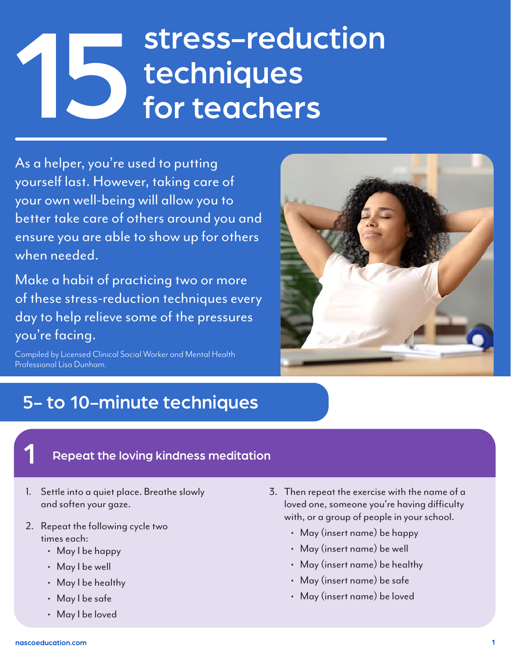# stress-reduction techniques for teachers

As a helper, you're used to putting yourself last. However, taking care of your own well-being will allow you to better take care of others around you and ensure you are able to show up for others when needed.

Make a habit of practicing two or more of these stress-reduction techniques every day to help relieve some of the pressures you're facing.

Compiled by Licensed Clinical Social Worker and Mental Health Professional Lisa Dunham.



## 5- to 10-minute techniques

### Repeat the loving kindness meditation

- 1. Settle into a quiet place. Breathe slowly and soften your gaze.
- 2. Repeat the following cycle two times each:
	- May I be happy
	- May I be well
	- May I be healthy
	- May I be safe
	- May I be loved
- 3. Then repeat the exercise with the name of a loved one, someone you're having difficulty with, or a group of people in your school.
	- May (insert name) be happy
	- May (insert name) be well
	- May (insert name) be healthy
	- May (insert name) be safe
	- May (insert name) be loved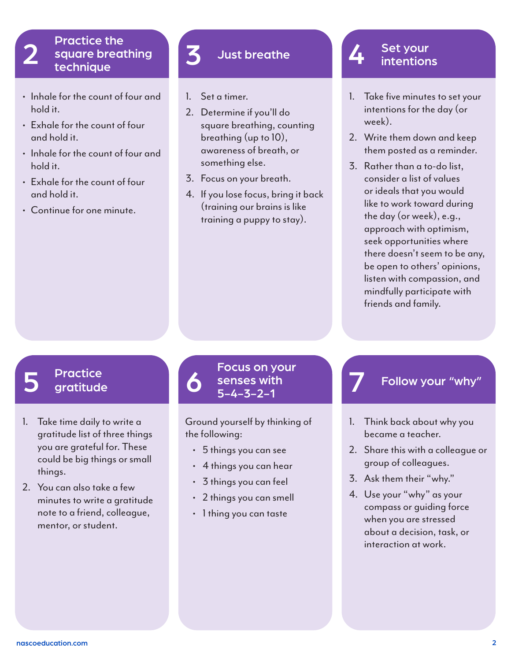### Practice the square breathing technique 2 square breathing 3 Just breathe 14 Set your<br>technique

- Inhale for the count of four and hold it.
- Exhale for the count of four and hold it.
- Inhale for the count of four and hold it.
- Exhale for the count of four and hold it.
- Continue for one minute.

- 1. Set a timer.
- 2. Determine if you'll do square breathing, counting breathing (up to 10), awareness of breath, or something else.
- 3. Focus on your breath.
- 4. If you lose focus, bring it back (training our brains is like training a puppy to stay).

- 1. Take five minutes to set your intentions for the day (or week).
- 2. Write them down and keep them posted as a reminder.
- 3. Rather than a to-do list, consider a list of values or ideals that you would like to work toward during the day (or week), e.g., approach with optimism, seek opportunities where there doesn't seem to be any, be open to others' opinions, listen with compassion, and mindfully participate with friends and family.

- **Practice** gratitude
- 1. Take time daily to write a gratitude list of three things you are grateful for. These could be big things or small things.
- 2. You can also take a few minutes to write a gratitude note to a friend, colleague, mentor, or student.

 $\begin{array}{ccc} 5 \quad \text{Practice} \quad \text{S} \quad \text{S} \quad \text{S} \quad \text{S} \quad \text{S} \quad \text{S} \quad \text{S} \quad \text{S} \quad \text{S} \quad \text{S} \quad \text{S} \quad \text{S} \quad \text{S} \quad \text{S} \quad \text{S} \quad \text{S} \quad \text{S} \quad \text{S} \quad \text{S} \quad \text{S} \quad \text{S} \quad \text{S} \quad \text{S} \quad \text{S} \quad \text{S} \quad \text{S} \quad \text{S} \quad \text{S} \quad \text{S} \$ Focus on your<br>senses with Follow your "why"<br>5-4-3-2-1

> Ground yourself by thinking of the following:

- 5 things you can see
- 4 things you can hear
- 3 things you can feel
- 2 things you can smell
- 1 thing you can taste

- 1. Think back about why you became a teacher.
- 2. Share this with a colleague or group of colleagues.
- 3. Ask them their "why."
- 4. Use your "why" as your compass or guiding force when you are stressed about a decision, task, or interaction at work.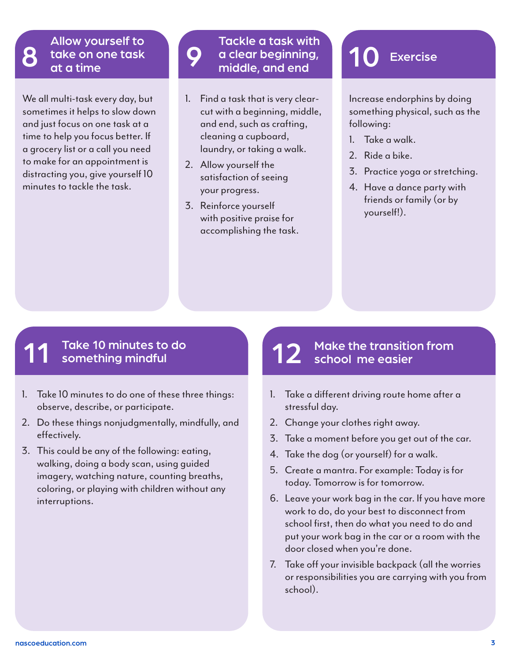## Allow yourself to take on one task<br>at a time

We all multi-task every day, but sometimes it helps to slow down and just focus on one task at a time to help you focus better. If a grocery list or a call you need to make for an appointment is distracting you, give yourself 10 minutes to tackle the task.

## Tackle a task with a clear beginning, 10 Exercise<br>middle, and end

- 1. Find a task that is very clearcut with a beginning, middle, and end, such as crafting, cleaning a cupboard, laundry, or taking a walk.
- 2. Allow yourself the satisfaction of seeing your progress.
- 3. Reinforce yourself with positive praise for accomplishing the task.

Increase endorphins by doing something physical, such as the following:

- 1. Take a walk.
- 2. Ride a bike.
- 3. Practice yoga or stretching.
- 4. Have a dance party with friends or family (or by yourself!).

## Take 10 minutes to do<br>something mindful

- 1. Take 10 minutes to do one of these three things: observe, describe, or participate.
- 2. Do these things nonjudgmentally, mindfully, and effectively.
- 3. This could be any of the following: eating, walking, doing a body scan, using guided imagery, watching nature, counting breaths, coloring, or playing with children without any interruptions.

# Make the transition from<br>school me easier

- 1. Take a different driving route home after a stressful day.
- 2. Change your clothes right away.
- 3. Take a moment before you get out of the car.
- 4. Take the dog (or yourself) for a walk.
- 5. Create a mantra. For example: Today is for today. Tomorrow is for tomorrow.
- 6. Leave your work bag in the car. If you have more work to do, do your best to disconnect from school first, then do what you need to do and put your work bag in the car or a room with the door closed when you're done.
- 7. Take off your invisible backpack (all the worries or responsibilities you are carrying with you from school).